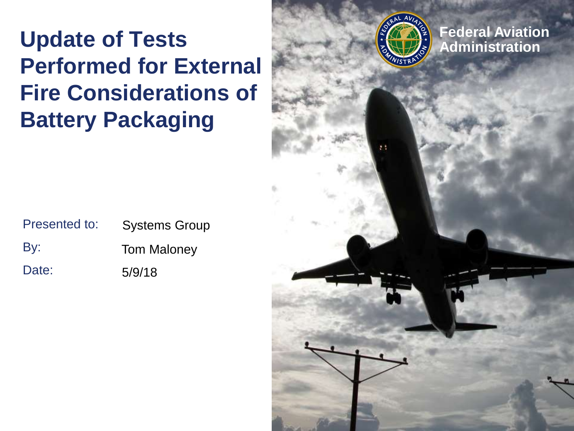#### **Federal Aviation**<br> **Update of Tests Administration Performed for External Fire Considerations of Battery Packaging**

| Presented to: | <b>Systems Group</b> |
|---------------|----------------------|
| By:           | <b>Tom Maloney</b>   |
| Date:         | 5/9/18               |

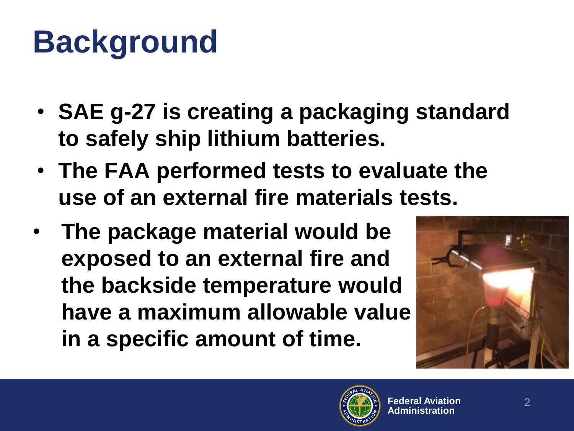## **Background**

- **SAE g-27 is creating a packaging standard to safely ship lithium batteries.**
- **The FAA performed tests to evaluate the use of an external fire materials tests.**
- **The package material would be exposed to an external fire and the backside temperature would have a maximum allowable value in a specific amount of time.**



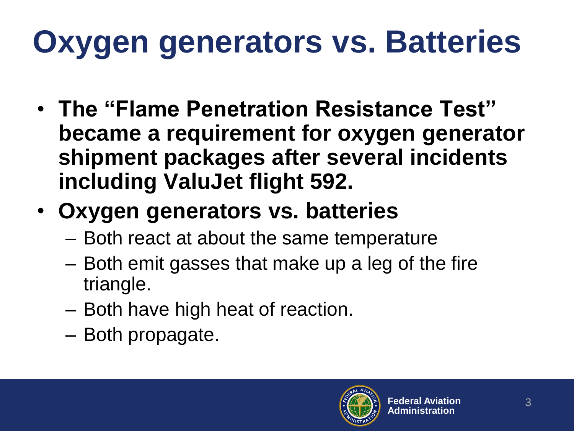# **Oxygen generators vs. Batteries**

- **The "Flame Penetration Resistance Test" became a requirement for oxygen generator shipment packages after several incidents including ValuJet flight 592.**
- **Oxygen generators vs. batteries**
	- Both react at about the same temperature
	- Both emit gasses that make up a leg of the fire triangle.
	- Both have high heat of reaction.
	- Both propagate.

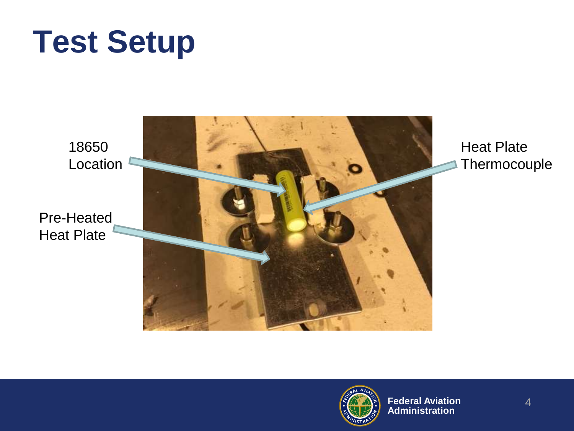## **Test Setup**

18650 Location

Pre-Heated Heat Plate



Heat Plate **Thermocouple** 

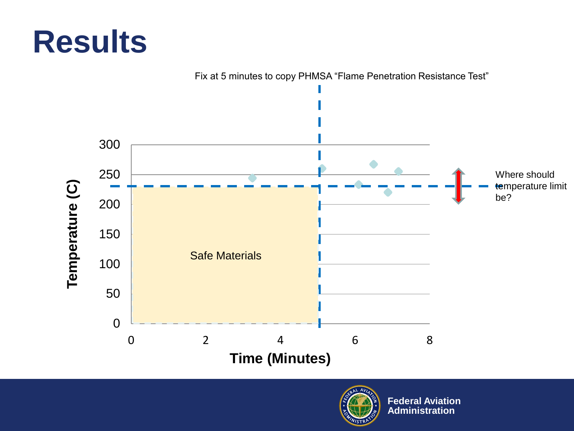### **Results**



Fix at 5 minutes to copy PHMSA "Flame Penetration Resistance Test"



**Federal Aviation Administration**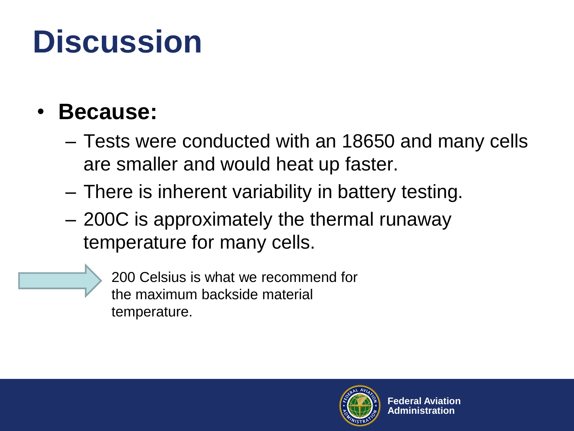## **Discussion**

#### • **Because:**

- Tests were conducted with an 18650 and many cells are smaller and would heat up faster.
- There is inherent variability in battery testing.
- 200C is approximately the thermal runaway temperature for many cells.
	- 200 Celsius is what we recommend for the maximum backside material temperature.